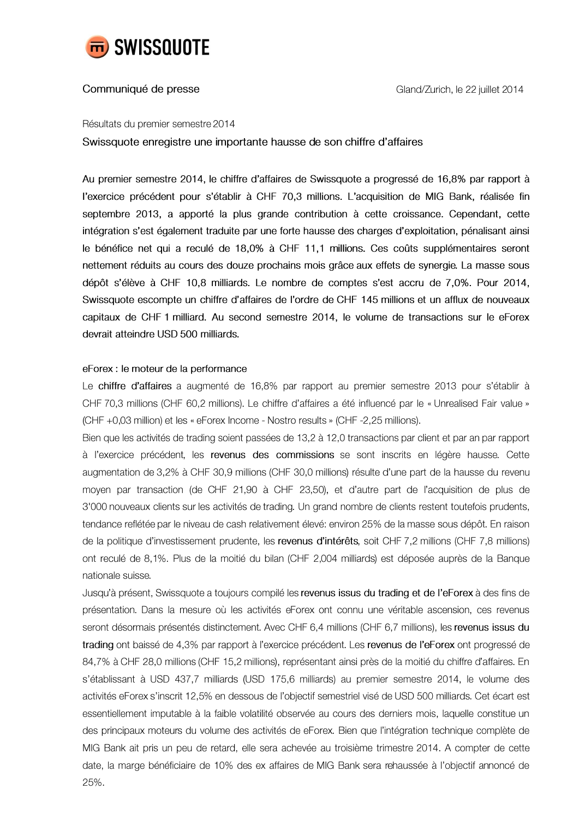

# Communiqué de presse

Résultats du premier semestre 2014

Swissquote enregistre une importante hausse de son chiffre d'affaires

Au premier semestre 2014, le chiffre d'affaires de Swissquote a progressé de 16,8% par rapport à l'exercice précédent pour s'établir à CHF 70,3 millions. L'acquisition de MIG Bank, réalisée fin septembre 2013, a apporté la plus grande contribution à cette croissance. Cependant, cette intégration s'est également traduite par une forte hausse des charges d'exploitation, pénalisant ainsi le bénéfice net qui a reculé de 18,0% à CHF 11,1 millions. Ces coûts supplémentaires seront nettement réduits au cours des douze prochains mois grâce aux effets de synergie. La masse sous dépôt s'élève à CHF 10,8 milliards. Le nombre de comptes s'est accru de 7,0%. Pour 2014, Swissquote escompte un chiffre d'affaires de l'ordre de CHF 145 millions et un afflux de nouveaux capitaux de CHF 1 milliard. Au second semestre 2014, le volume de transactions sur le eForex devrait atteindre USD 500 milliards.

## eForex : le moteur de la performance

Le chiffre d'affaires a augmenté de 16,8% par rapport au premier semestre 2013 pour s'établir à CHF 70,3 millions (CHF 60,2 millions). Le chiffre d'affaires a été influencé par le « Unrealised Fair value » (CHF +0,03 million) et les « eForex Income - Nostro results » (CHF -2,25 millions).

Bien que les activités de trading soient passées de 13,2 à 12,0 transactions par client et par an par rapport à l'exercice précédent, les revenus des commissions se sont inscrits en légère hausse. Cette augmentation de 3,2% à CHF 30,9 millions (CHF 30,0 millions) résulte d'une part de la hausse du revenu moyen par transaction (de CHF 21,90 à CHF 23,50), et d'autre part de l'acquisition de plus de 3'000 nouveaux clients sur les activités de trading. Un grand nombre de clients restent toutefois prudents, tendance reflétée par le niveau de cash relativement élevé: environ 25% de la masse sous dépôt. En raison de la politique d'investissement prudente, les revenus d'intérêts, soit CHF 7,2 millions (CHF 7,8 millions) ont reculé de 8,1%. Plus de la moitié du bilan (CHF 2,004 milliards) est déposée auprès de la Banque nationale suisse.

Jusqu'à présent, Swissquote a toujours compilé les revenus issus du trading et de l'eForex à des fins de présentation. Dans la mesure où les activités eForex ont connu une véritable ascension, ces revenus seront désormais présentés distinctement. Avec CHF 6,4 millions (CHF 6,7 millions), les revenus issus du trading ont baissé de 4,3% par rapport à l'exercice précédent. Les revenus de l'eForex ont progressé de 84,7% à CHF 28,0 millions (CHF 15,2 millions), représentant ainsi près de la moitié du chiffre d'affaires. En s'établissant à USD 437,7 milliards (USD 175,6 milliards) au premier semestre 2014, le volume des activités eForex s'inscrit 12,5% en dessous de l'objectif semestriel visé de USD 500 milliards. Cet écart est essentiellement imputable à la faible volatilité observée au cours des derniers mois, laquelle constitue un des principaux moteurs du volume des activités de eForex. Bien que l'intégration technique complète de MIG Bank ait pris un peu de retard, elle sera achevée au troisième trimestre 2014. A compter de cette date, la marge bénéficiaire de 10% des ex affaires de MIG Bank sera rehaussée à l'objectif annoncé de 25%.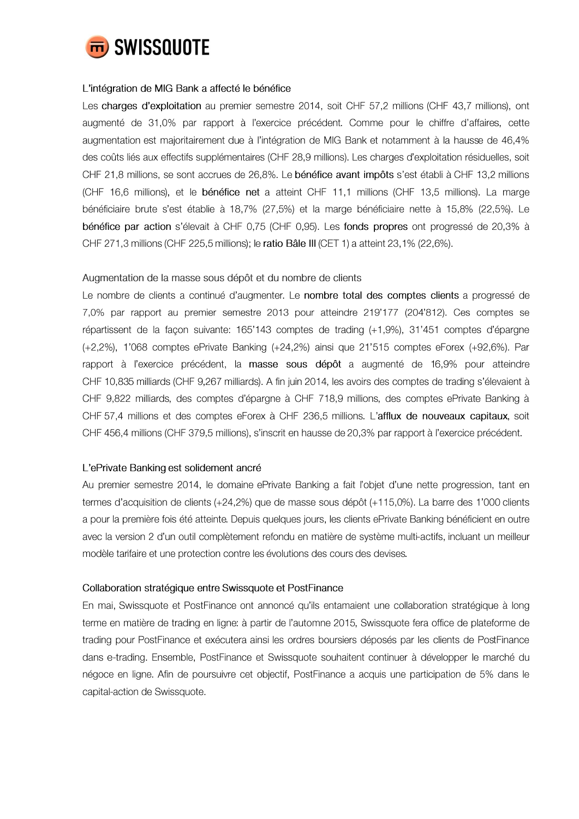

#### L'intégration de MIG Bank a affecté le bénéfice

Les charges d'exploitation au premier semestre 2014, soit CHF 57,2 millions (CHF 43,7 millions), ont augmenté de 31,0% par rapport à l'exercice précédent. Comme pour le chiffre d'affaires, cette augmentation est majoritairement due à l'intégration de MIG Bank et notamment à la hausse de 46,4% des coûts liés aux effectifs supplémentaires (CHF 28,9 millions). Les charges d'exploitation résiduelles, soit CHF 21,8 millions, se sont accrues de 26,8%. Le bénéfice avant impôts s'est établi à CHF 13,2 millions (CHF 16,6 millions), et le bénéfice net a atteint CHF 11,1 millions (CHF 13,5 millions). La marge bénéficiaire brute s'est établie à 18,7% (27,5%) et la marge bénéficiaire nette à 15,8% (22,5%). Le bénéfice par action s'élevait à CHF 0,75 (CHF 0,95). Les fonds propres ont progressé de 20,3% à CHF 271,3 millions (CHF 225,5 millions); le ratio Bâle III (CET 1) a atteint 23,1% (22,6%).

#### Augmentation de la masse sous dépôt et du nombre de clients

Le nombre de clients a continué d'augmenter. Le nombre total des comptes clients a progressé de 7,0% par rapport au premier semestre 2013 pour atteindre 219'177 (204'812). Ces comptes se répartissent de la façon suivante: 165'143 comptes de trading (+1,9%), 31'451 comptes d'épargne (+2,2%), 1'068 comptes ePrivate Banking (+24,2%) ainsi que 21'515 comptes eForex (+92,6%). Par rapport à l'exercice précédent, la masse sous dépôt a augmenté de 16,9% pour atteindre CHF 10,835 milliards (CHF 9,267 milliards). A fin juin 2014, les avoirs des comptes de trading s'élevaient à CHF 9,822 milliards, des comptes d'épargne à CHF 718,9 millions, des comptes ePrivate Banking à CHF 57,4 millions et des comptes eForex à CHF 236,5 millions. L'afflux de nouveaux capitaux, soit CHF 456,4 millions (CHF 379,5 millions), s'inscrit en hausse de 20,3% par rapport à l'exercice précédent.

## L'ePrivate Banking est solidement ancré

Au premier semestre 2014, le domaine ePrivate Banking a fait l'objet d'une nette progression, tant en termes d'acquisition de clients (+24,2%) que de masse sous dépôt (+115,0%). La barre des 1'000 clients a pour la première fois été atteinte. Depuis quelques jours, les clients ePrivate Banking bénéficient en outre avec la version 2 d'un outil complètement refondu en matière de système multi-actifs, incluant un meilleur modèle tarifaire et une protection contre les évolutions des cours des devises.

#### Collaboration stratégique entre Swissquote et PostFinance

En mai, Swissquote et PostFinance ont annoncé qu'ils entamaient une collaboration stratégique à long terme en matière de trading en ligne: à partir de l'automne 2015, Swissquote fera office de plateforme de trading pour PostFinance et exécutera ainsi les ordres boursiers déposés par les clients de PostFinance dans e-trading. Ensemble, PostFinance et Swissquote souhaitent continuer à développer le marché du négoce en ligne. Afin de poursuivre cet objectif, PostFinance a acquis une participation de 5% dans le capital-action de Swissquote.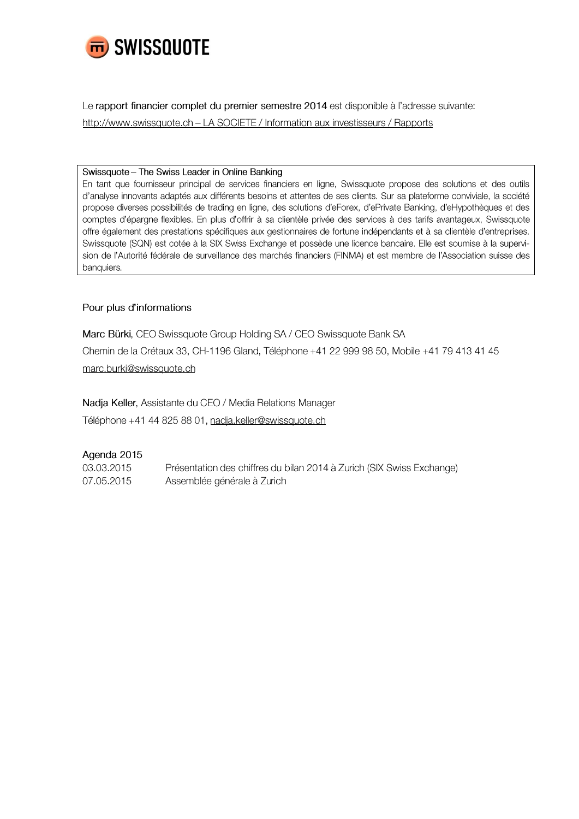

Le rapport financier complet du premier semestre 2014 est disponible à l'adresse suivante: http://www.swissquote.ch - LA SOCIETE / Information aux investisseurs / Rapports

#### Swissquote - The Swiss Leader in Online Banking

En tant que fournisseur principal de services financiers en ligne, Swissquote propose des solutions et des outils d'analyse innovants adaptés aux différents besoins et attentes de ses clients. Sur sa plateforme conviviale, la société propose diverses possibilités de trading en ligne, des solutions d'eForex, d'ePrivate Banking, d'eHypothèques et des comptes d'épargne flexibles. En plus d'offrir à sa clientèle privée des services à des tarifs avantageux, Swissquote offre également des prestations spécifiques aux gestionnaires de fortune indépendants et à sa clientèle d'entreprises. Swissquote (SQN) est cotée à la SIX Swiss Exchange et possède une licence bancaire. Elle est soumise à la supervision de l'Autorité fédérale de surveillance des marchés financiers (FINMA) et est membre de l'Association suisse des banquiers.

## Pour plus d'informations

Marc Bürki, CEO Swissquote Group Holding SA / CEO Swissquote Bank SA Chemin de la Crétaux 33, CH-1196 Gland, Téléphone +41 22 999 98 50, Mobile +41 79 413 41 45 marc.burki@swissquote.ch

Nadja Keller, Assistante du CEO / Media Relations Manager Téléphone +41 44 825 88 01, nadja.keller@swissquote.ch

## Agenda 2015

03.03.2015 Présentation des chiffres du bilan 2014 à Zurich (SIX Swiss Exchange) 07.05.2015 Assemblée générale à Zurich